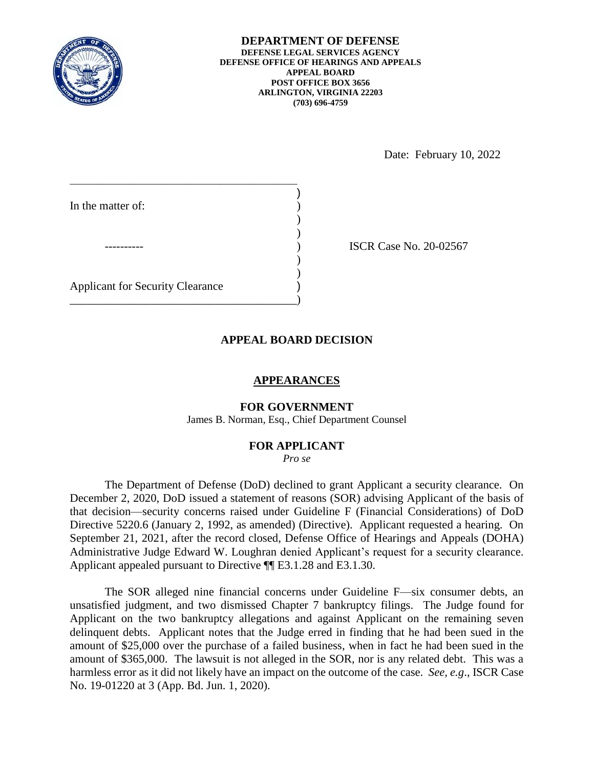

Date: February 10, 2022

\_\_\_\_\_\_\_\_\_\_\_\_\_\_\_\_\_\_\_\_\_\_\_\_\_\_\_\_\_\_\_\_\_\_\_\_\_\_\_\_\_\_\_\_\_\_\_ ) In the matter of: )  $\mathcal{L}$ ---------- ) ISCR Case No. 20-02567  $)$  $)$ Applicant for Security Clearance )

\_\_\_\_\_\_\_\_\_\_\_\_\_\_\_\_\_\_\_\_\_\_\_\_\_\_\_\_\_\_\_\_\_\_\_\_\_\_\_)

### **APPEAL BOARD DECISION**

### **APPEARANCES**

# **FOR GOVERNMENT**

James B. Norman, Esq., Chief Department Counsel

#### **FOR APPLICANT**

*Pro se* 

 The Department of Defense (DoD) declined to grant Applicant a security clearance. On December 2, 2020, DoD issued a statement of reasons (SOR) advising Applicant of the basis of that decision—security concerns raised under Guideline F (Financial Considerations) of DoD Directive 5220.6 (January 2, 1992, as amended) (Directive). Applicant requested a hearing. On September 21, 2021, after the record closed, Defense Office of Hearings and Appeals (DOHA) Administrative Judge Edward W. Loughran denied Applicant's request for a security clearance. Applicant appealed pursuant to Directive ¶¶ E3.1.28 and E3.1.30.

 The SOR alleged nine financial concerns under Guideline F—six consumer debts, an unsatisfied judgment, and two dismissed Chapter 7 bankruptcy filings. The Judge found for delinquent debts. Applicant notes that the Judge erred in finding that he had been sued in the amount of \$25,000 over the purchase of a failed business, when in fact he had been sued in the amount of \$365,000. The lawsuit is not alleged in the SOR, nor is any related debt. This was a harmless error as it did not likely have an impact on the outcome of the case. *See, e.g*., ISCR Case Applicant on the two bankruptcy allegations and against Applicant on the remaining seven No. 19-01220 at 3 (App. Bd. Jun. 1, 2020).